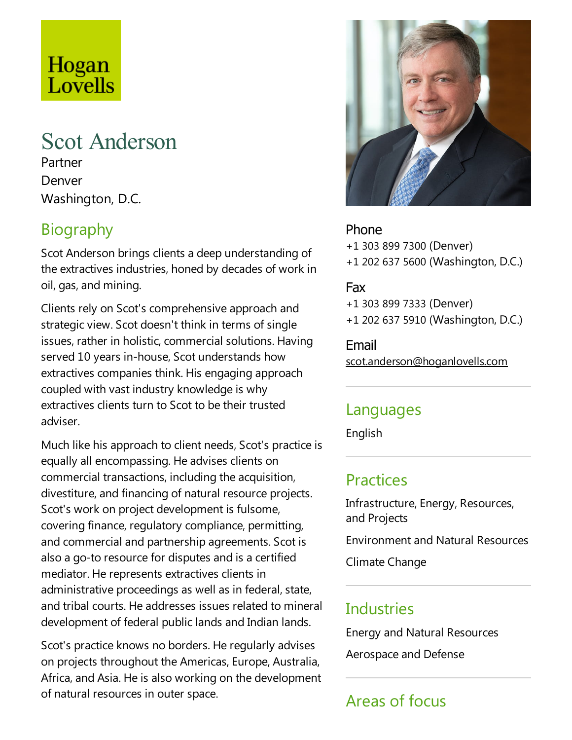# Hogan Lovells

## Scot Anderson

Partner Denver Washington, D.C.

### Biography

Scot Anderson brings clients a deep understanding of the extractives industries, honed by decades of work in oil, gas, and mining.

Clients rely on Scot's comprehensive approach and strategic view. Scot doesn't think in terms of single issues, rather in holistic, commercial solutions. Having served 10 years in-house, Scot understands how extractives companies think. His engaging approach coupled with vast industry knowledge is why extractives clients turn to Scot to be their trusted adviser.

Much like his approach to client needs, Scot's practice is equally all encompassing. He advises clients on commercial transactions, including the acquisition, divestiture, and financing of natural resource projects. Scot's work on project development is fulsome, covering finance, regulatory compliance, permitting, and commercial and partnership agreements. Scot is also a go-to resource for disputes and is a certified mediator. He represents extractives clients in administrative proceedings as well as in federal, state, and tribal courts. He addresses issues related to mineral development of federal public lands and Indian lands.

Scot's practice knows no borders. He regularly advises on projects throughout the Americas, Europe, Australia, Africa, and Asia. He is also working on the development of natural resources in outer space.



Phone +1 303 899 7300 (Denver) +1 202 637 5600 (Washington, D.C.)

#### Fax

+1 303 899 7333 (Denver) +1 202 637 5910 (Washington, D.C.)

Email scot.anderson@hoganlovells.com

#### Languages

English

#### Practices

Infrastructure, Energy, Resources, and Projects

**Environment and Natural Resources** 

Climate Change

#### **Industries**

Energy and Natural Resources

Aerospace and Defense

### Areas of focus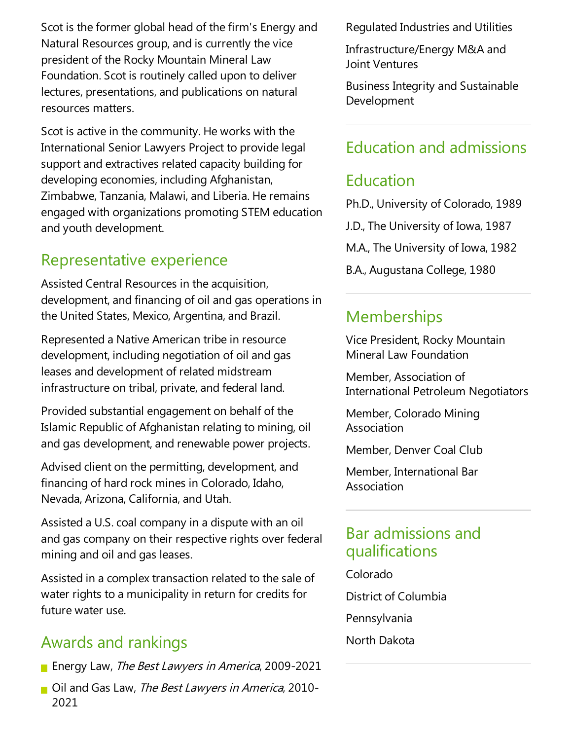Scot is the former global head of the firm's Energy and Natural Resources group, and is currently the vice president of the Rocky Mountain Mineral Law Foundation. Scot is routinely called upon to deliver lectures, presentations, and publications on natural resources matters.

Scot is active in the community. He works with the International Senior Lawyers Project to provide legal support and extractives related capacity building for developing economies, including Afghanistan, Zimbabwe, Tanzania, Malawi, and Liberia. He remains engaged with organizations promoting STEM education and youth development.

#### Representative experience

Assisted Central Resources in the acquisition, development,and financing of oil and gas operations in the United States, Mexico, Argentina, and Brazil.

Represented a Native American tribe in resource development, including negotiation of oil and gas leases and development of related midstream infrastructure on tribal, private, and federal land.

Provided substantial engagement on behalf of the Islamic Republic of Afghanistan relating to mining, oil and gas development, and renewable power projects.

Advised client on the permitting, development, and financing of hard rock mines in Colorado, Idaho, Nevada, Arizona, California, and Utah.

Assisted a U.S. coal company in a dispute with an oil and gas company on their respective rights over federal mining and oil and gas leases.

Assisted in a complex transaction related to the sale of water rights to a municipality in return for credits for future water use.

#### Awards and rankings

- **Energy Law, The Best Lawyers in America, 2009-2021**
- Oil and Gas Law, The Best Lawyers in America, 2010-2021

Regulated Industries and Utilities

Infrastructure/Energy M&A and Joint Ventures

Business Integrity and Sustainable Development

#### Education and admissions

#### Education

Ph.D., University of Colorado, 1989 J.D., The University of Iowa, 1987 M.A., The University of Iowa, 1982 B.A., Augustana College, 1980

#### **Memberships**

Vice President, Rocky Mountain Mineral Law Foundation

Member, Association of International Petroleum Negotiators

Member, Colorado Mining Association

Member, Denver Coal Club

Member, International Bar Association

#### Bar admissions and qualifications

- Colorado
- District of Columbia
- Pennsylvania
- North Dakota